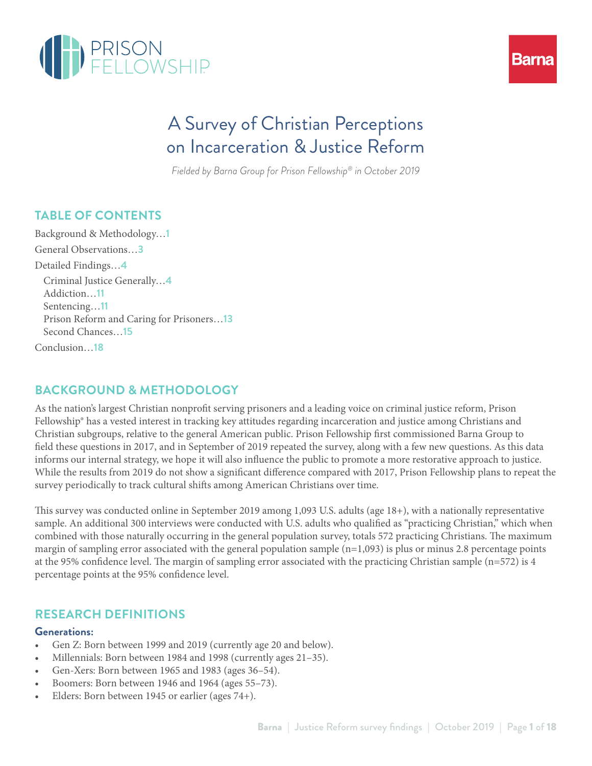



# A Survey of Christian Perceptions on Incarceration & Justice Reform

*Fielded by Barna Group for Prison Fellowship® in October 2019* 

## **TABLE OF CONTENTS**

Background & Methodology…**1** General Observations…**3** Detailed Findings…**4** Criminal Justice Generally…**4** Addiction…**11** Sentencing…**11** Prison Reform and Caring for Prisoners…**13** Second Chances…**15** Conclusion…**18**

## **BACKGROUND & METHODOLOGY**

As the nation's largest Christian nonprofit serving prisoners and a leading voice on criminal justice reform, Prison Fellowship® has a vested interest in tracking key attitudes regarding incarceration and justice among Christians and Christian subgroups, relative to the general American public. Prison Fellowship first commissioned Barna Group to field these questions in 2017, and in September of 2019 repeated the survey, along with a few new questions. As this data informs our internal strategy, we hope it will also influence the public to promote a more restorative approach to justice. While the results from 2019 do not show a significant difference compared with 2017, Prison Fellowship plans to repeat the survey periodically to track cultural shifts among American Christians over time.

This survey was conducted online in September 2019 among 1,093 U.S. adults (age 18+), with a nationally representative sample. An additional 300 interviews were conducted with U.S. adults who qualified as "practicing Christian," which when combined with those naturally occurring in the general population survey, totals 572 practicing Christians. The maximum margin of sampling error associated with the general population sample  $(n=1,093)$  is plus or minus 2.8 percentage points at the 95% confidence level. The margin of sampling error associated with the practicing Christian sample (n=572) is 4 percentage points at the 95% confidence level.

### **RESEARCH DEFINITIONS**

#### **Generations:**

- Gen Z: Born between 1999 and 2019 (currently age 20 and below).
- Millennials: Born between 1984 and 1998 (currently ages 21–35).
- Gen-Xers: Born between 1965 and 1983 (ages 36–54).
- Boomers: Born between 1946 and 1964 (ages 55-73).
- Elders: Born between 1945 or earlier (ages 74+).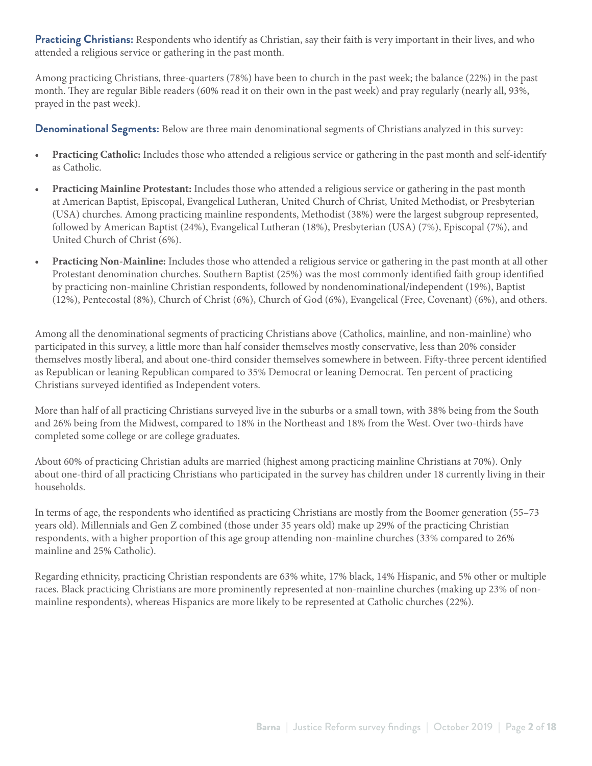**Practicing Christians:** Respondents who identify as Christian, say their faith is very important in their lives, and who attended a religious service or gathering in the past month.

Among practicing Christians, three-quarters (78%) have been to church in the past week; the balance (22%) in the past month. They are regular Bible readers (60% read it on their own in the past week) and pray regularly (nearly all, 93%, prayed in the past week).

**Denominational Segments:** Below are three main denominational segments of Christians analyzed in this survey:

- **• Practicing Catholic:** Includes those who attended a religious service or gathering in the past month and self-identify as Catholic.
- **• Practicing Mainline Protestant:** Includes those who attended a religious service or gathering in the past month at American Baptist, Episcopal, Evangelical Lutheran, United Church of Christ, United Methodist, or Presbyterian (USA) churches. Among practicing mainline respondents, Methodist (38%) were the largest subgroup represented, followed by American Baptist (24%), Evangelical Lutheran (18%), Presbyterian (USA) (7%), Episcopal (7%), and United Church of Christ (6%).
- **• Practicing Non-Mainline:** Includes those who attended a religious service or gathering in the past month at all other Protestant denomination churches. Southern Baptist (25%) was the most commonly identified faith group identified by practicing non-mainline Christian respondents, followed by nondenominational/independent (19%), Baptist (12%), Pentecostal (8%), Church of Christ (6%), Church of God (6%), Evangelical (Free, Covenant) (6%), and others.

Among all the denominational segments of practicing Christians above (Catholics, mainline, and non-mainline) who participated in this survey, a little more than half consider themselves mostly conservative, less than 20% consider themselves mostly liberal, and about one-third consider themselves somewhere in between. Fifty-three percent identified as Republican or leaning Republican compared to 35% Democrat or leaning Democrat. Ten percent of practicing Christians surveyed identified as Independent voters.

More than half of all practicing Christians surveyed live in the suburbs or a small town, with 38% being from the South and 26% being from the Midwest, compared to 18% in the Northeast and 18% from the West. Over two-thirds have completed some college or are college graduates.

About 60% of practicing Christian adults are married (highest among practicing mainline Christians at 70%). Only about one-third of all practicing Christians who participated in the survey has children under 18 currently living in their households.

In terms of age, the respondents who identified as practicing Christians are mostly from the Boomer generation (55–73 years old). Millennials and Gen Z combined (those under 35 years old) make up 29% of the practicing Christian respondents, with a higher proportion of this age group attending non-mainline churches (33% compared to 26% mainline and 25% Catholic).

Regarding ethnicity, practicing Christian respondents are 63% white, 17% black, 14% Hispanic, and 5% other or multiple races. Black practicing Christians are more prominently represented at non-mainline churches (making up 23% of nonmainline respondents), whereas Hispanics are more likely to be represented at Catholic churches (22%).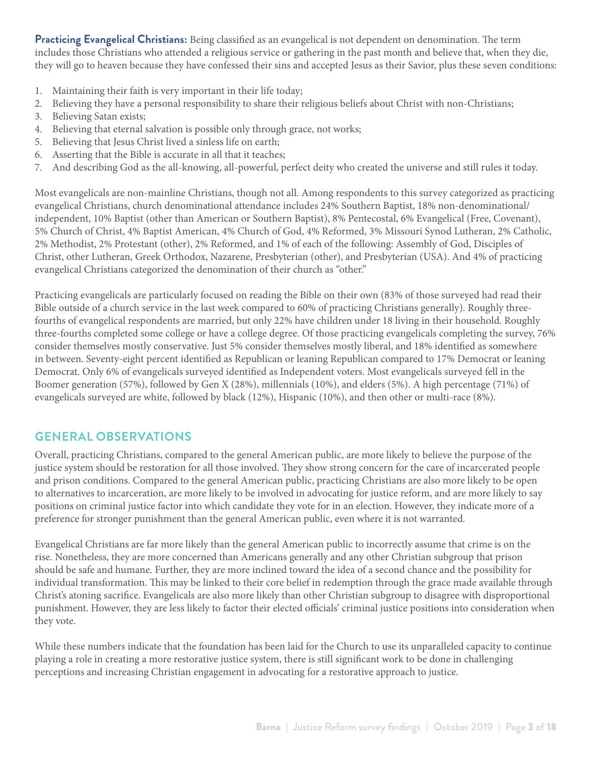**Practicing Evangelical Christians:** Being classified as an evangelical is not dependent on denomination. The term includes those Christians who attended a religious service or gathering in the past month and believe that, when they die, they will go to heaven because they have confessed their sins and accepted Jesus as their Savior, plus these seven conditions:

- 1. Maintaining their faith is very important in their life today;
- 2. Believing they have a personal responsibility to share their religious beliefs about Christ with non-Christians;
- 3. Believing Satan exists;
- 4. Believing that eternal salvation is possible only through grace, not works;
- 5. Believing that Jesus Christ lived a sinless life on earth;
- 6. Asserting that the Bible is accurate in all that it teaches;
- 7. And describing God as the all-knowing, all-powerful, perfect deity who created the universe and still rules it today.

Most evangelicals are non-mainline Christians, though not all. Among respondents to this survey categorized as practicing evangelical Christians, church denominational attendance includes 24% Southern Baptist, 18% non-denominational/ independent, 10% Baptist (other than American or Southern Baptist), 8% Pentecostal, 6% Evangelical (Free, Covenant), 5% Church of Christ, 4% Baptist American, 4% Church of God, 4% Reformed, 3% Missouri Synod Lutheran, 2% Catholic, 2% Methodist, 2% Protestant (other), 2% Reformed, and 1% of each of the following: Assembly of God, Disciples of Christ, other Lutheran, Greek Orthodox, Nazarene, Presbyterian (other), and Presbyterian (USA). And 4% of practicing evangelical Christians categorized the denomination of their church as "other."

Practicing evangelicals are particularly focused on reading the Bible on their own (83% of those surveyed had read their Bible outside of a church service in the last week compared to 60% of practicing Christians generally). Roughly threefourths of evangelical respondents are married, but only 22% have children under 18 living in their household. Roughly three-fourths completed some college or have a college degree. Of those practicing evangelicals completing the survey, 76% consider themselves mostly conservative. Just 5% consider themselves mostly liberal, and 18% identified as somewhere in between. Seventy-eight percent identified as Republican or leaning Republican compared to 17% Democrat or leaning Democrat. Only 6% of evangelicals surveyed identified as Independent voters. Most evangelicals surveyed fell in the Boomer generation (57%), followed by Gen X (28%), millennials (10%), and elders (5%). A high percentage (71%) of evangelicals surveyed are white, followed by black (12%), Hispanic (10%), and then other or multi-race (8%).

### **GENERAL OBSERVATIONS**

Overall, practicing Christians, compared to the general American public, are more likely to believe the purpose of the justice system should be restoration for all those involved. They show strong concern for the care of incarcerated people and prison conditions. Compared to the general American public, practicing Christians are also more likely to be open to alternatives to incarceration, are more likely to be involved in advocating for justice reform, and are more likely to say positions on criminal justice factor into which candidate they vote for in an election. However, they indicate more of a preference for stronger punishment than the general American public, even where it is not warranted.

Evangelical Christians are far more likely than the general American public to incorrectly assume that crime is on the rise. Nonetheless, they are more concerned than Americans generally and any other Christian subgroup that prison should be safe and humane. Further, they are more inclined toward the idea of a second chance and the possibility for individual transformation. This may be linked to their core belief in redemption through the grace made available through Christ's atoning sacrifice. Evangelicals are also more likely than other Christian subgroup to disagree with disproportional punishment. However, they are less likely to factor their elected officials' criminal justice positions into consideration when they vote.

While these numbers indicate that the foundation has been laid for the Church to use its unparalleled capacity to continue playing a role in creating a more restorative justice system, there is still significant work to be done in challenging perceptions and increasing Christian engagement in advocating for a restorative approach to justice.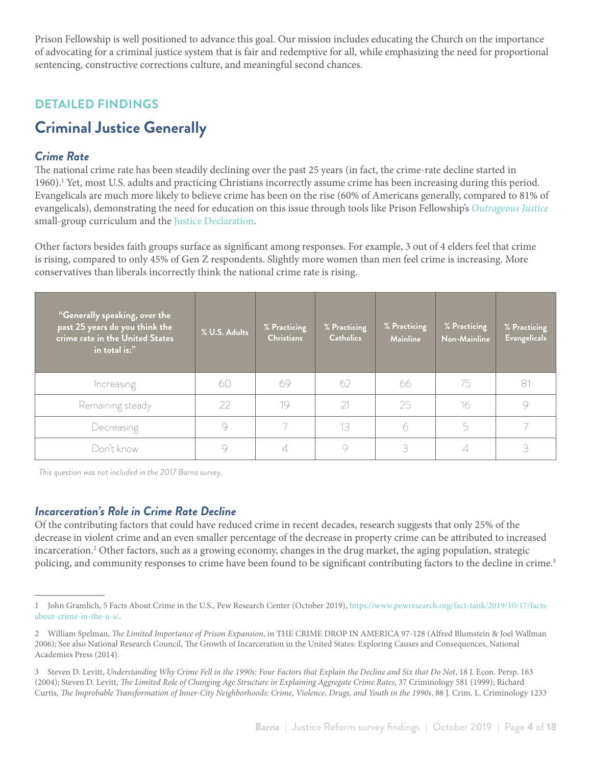Prison Fellowship is well positioned to advance this goal. Our mission includes educating the Church on the importance of advocating for a criminal justice system that is fair and redemptive for all, while emphasizing the need for proportional sentencing, constructive corrections culture, and meaningful second chances.

## **DETAILED FINDINGS**

## **Criminal Justice Generally**

### *Crime Rate*

The national crime rate has been steadily declining over the past 25 years (in fact, the crime-rate decline started in 1960).<sup>1</sup> Yet, most U.S. adults and practicing Christians incorrectly assume crime has been increasing during this period. Evangelicals are much more likely to believe crime has been on the rise (60% of Americans generally, compared to 81% of evangelicals), demonstrating the need for education on this issue through tools like Prison Fellowship's *[Outrageous Justice](https://www.prisonfellowship.org/about/justicereform/landing-pages/outrageous-justice/)* small-group curriculum and the [Justice Declaration.](https://www.prisonfellowship.org/about/justicereform/landing-pages/justice-declaration/)

Other factors besides faith groups surface as significant among responses. For example, 3 out of 4 elders feel that crime is rising, compared to only 45% of Gen Z respondents. Slightly more women than men feel crime is increasing. More conservatives than liberals incorrectly think the national crime rate is rising.

| "Generally speaking, over the<br>past 25 years do you think the<br>crime rate in the United States<br>in total is:" | % U.S. Adults | % Practicing<br><b>Christians</b> | % Practicing<br><b>Catholics</b> | % Practicing<br><b>Mainline</b> | % Practicing<br>Non-Mainline | % Practicing<br><b>Evangelicals</b> |
|---------------------------------------------------------------------------------------------------------------------|---------------|-----------------------------------|----------------------------------|---------------------------------|------------------------------|-------------------------------------|
| Increasing                                                                                                          | 60            | 69                                | 62                               | 66                              | 75                           | 81                                  |
| Remaining steady                                                                                                    | 22            | 19                                | 21                               | 25                              | 16                           | 9                                   |
| Decreasing                                                                                                          |               |                                   | 13                               |                                 | 5                            |                                     |
| Don't know                                                                                                          |               |                                   | 9                                | R                               |                              | 3                                   |

*This question was not included in the 2017 Barna survey.* 

#### *Incarceration's Role in Crime Rate Decline*

Of the contributing factors that could have reduced crime in recent decades, research suggests that only 25% of the decrease in violent crime and an even smaller percentage of the decrease in property crime can be attributed to increased incarceration.2 Other factors, such as a growing economy, changes in the drug market, the aging population, strategic policing, and community responses to crime have been found to be significant contributing factors to the decline in crime.<sup>3</sup>

<sup>1</sup> John Gramlich, 5 Facts About Crime in the U.S., Pew Research Center (October 2019), [https://www.pewresearch.org/fact-tank/2019/10/17/facts](https://www.pewresearch.org/fact-tank/2019/10/17/facts-about-crime-in-the-u-s/)[about-crime-in-the-u-s/](https://www.pewresearch.org/fact-tank/2019/10/17/facts-about-crime-in-the-u-s/).

<sup>2</sup> William Spelman, *The Limited Importance of Prison Expansion*, in THE CRIME DROP IN AMERICA 97-128 (Alfred Blumstein & Joel Wallman 2006); See also National Research Council, The Growth of Incarceration in the United States: Exploring Causes and Consequences, National Academies Press (2014).

<sup>3</sup> Steven D. Levitt, *Understanding Why Crime Fell in the 1990s: Four Factors that Explain the Decline and Six that Do Not*, 18 J. Econ. Persp. 163 (2004); Steven D. Levitt, *The Limited Role of Changing Age Structure in Explaining Aggregate Crime Rates*, 37 Criminology 581 (1999); Richard Curtis, *The Improbable Transformation of Inner-City Neighborhoods: Crime, Violence, Drugs, and Youth in the 1990s*, 88 J. Crim. L. Criminology 1233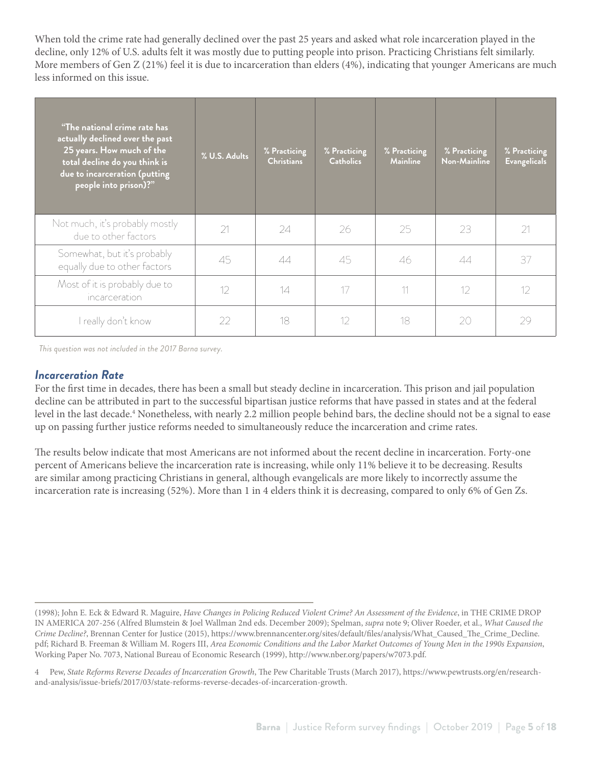When told the crime rate had generally declined over the past 25 years and asked what role incarceration played in the decline, only 12% of U.S. adults felt it was mostly due to putting people into prison. Practicing Christians felt similarly. More members of Gen Z (21%) feel it is due to incarceration than elders (4%), indicating that younger Americans are much less informed on this issue.

| "The national crime rate has<br>actually declined over the past<br>25 years. How much of the<br>total decline do you think is<br>due to incarceration (putting<br>people into prison)?" | % U.S. Adults | % Practicing<br><b>Christians</b> | % Practicing<br><b>Catholics</b> | % Practicing<br><b>Mainline</b> | % Practicing<br>Non-Mainline | % Practicing<br><b>Evangelicals</b> |
|-----------------------------------------------------------------------------------------------------------------------------------------------------------------------------------------|---------------|-----------------------------------|----------------------------------|---------------------------------|------------------------------|-------------------------------------|
| Not much, it's probably mostly<br>due to other factors                                                                                                                                  | 21            | 24                                | 26                               | 25                              | 23                           | 21                                  |
| Somewhat, but it's probably<br>equally due to other factors                                                                                                                             | 45            | 44                                | 45                               | 46                              | 44                           | 37                                  |
| Most of it is probably due to<br>incarceration                                                                                                                                          | 12            | 14                                | 17                               | 11                              | 12                           | 12                                  |
| I really don't know                                                                                                                                                                     | 22            | 18                                | 12                               | 18                              | 20                           | 29                                  |

*This question was not included in the 2017 Barna survey.* 

#### *Incarceration Rate*

For the first time in decades, there has been a small but steady decline in incarceration. This prison and jail population decline can be attributed in part to the successful bipartisan justice reforms that have passed in states and at the federal level in the last decade.4 Nonetheless, with nearly 2.2 million people behind bars, the decline should not be a signal to ease up on passing further justice reforms needed to simultaneously reduce the incarceration and crime rates.

The results below indicate that most Americans are not informed about the recent decline in incarceration. Forty-one percent of Americans believe the incarceration rate is increasing, while only 11% believe it to be decreasing. Results are similar among practicing Christians in general, although evangelicals are more likely to incorrectly assume the incarceration rate is increasing (52%). More than 1 in 4 elders think it is decreasing, compared to only 6% of Gen Zs.

<sup>(1998);</sup> John E. Eck & Edward R. Maguire, *Have Changes in Policing Reduced Violent Crime? An Assessment of the Evidence*, in THE CRIME DROP IN AMERICA 207-256 (Alfred Blumstein & Joel Wallman 2nd eds. December 2009); Spelman, *supra* note 9; Oliver Roeder, et al., *What Caused the Crime Decline?*, Brennan Center for Justice (2015), https://www.brennancenter.org/sites/default/files/analysis/What\_Caused\_The\_Crime\_Decline. pdf; Richard B. Freeman & William M. Rogers III, *Area Economic Conditions and the Labor Market Outcomes of Young Men in the 1990s Expansion*, Working Paper No. 7073, National Bureau of Economic Research (1999), http://www.nber.org/papers/w7073.pdf.

<sup>4</sup> Pew, *State Reforms Reverse Decades of Incarceration Growth*, The Pew Charitable Trusts (March 2017), https://www.pewtrusts.org/en/researchand-analysis/issue-briefs/2017/03/state-reforms-reverse-decades-of-incarceration-growth.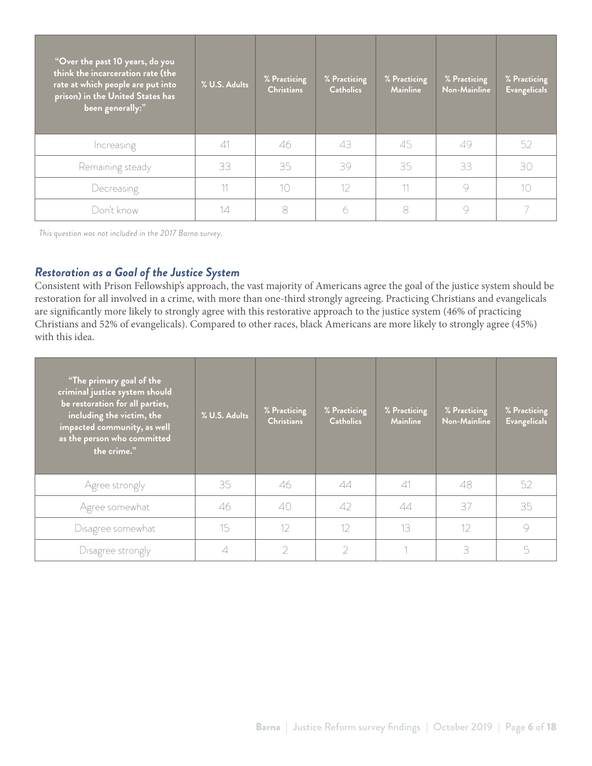| "Over the past 10 years, do you<br>think the incarceration rate (the<br>rate at which people are put into<br>prison) in the United States has<br>been generally:" | % U.S. Adults | % Practicing<br><b>Christians</b> | % Practicing<br><b>Catholics</b> | % Practicing<br><b>Mainline</b> | % Practicing<br>Non-Mainline | % Practicing<br><b>Evangelicals</b> |
|-------------------------------------------------------------------------------------------------------------------------------------------------------------------|---------------|-----------------------------------|----------------------------------|---------------------------------|------------------------------|-------------------------------------|
| Increasing                                                                                                                                                        | $\triangle$ 1 | 46                                | 43                               | 45                              | 49                           | 52                                  |
| Remaining steady                                                                                                                                                  | 33            | 35                                | 39                               | 35                              | 33                           | 30                                  |
| Decreasing                                                                                                                                                        |               | 10                                | 12                               | 11                              | 9                            | 10                                  |
| Don't know                                                                                                                                                        | 14            | 8                                 | 6                                | 8                               |                              |                                     |

*This question was not included in the 2017 Barna survey.* 

#### *Restoration as a Goal of the Justice System*

Consistent with Prison Fellowship's [approach](https://www.prisonfellowship.org/about/justicereform/justice-that-restores/), the vast majority of Americans agree the goal of the justice system should be restoration for all involved in a crime, with more than one-third strongly agreeing. Practicing Christians and evangelicals are significantly more likely to strongly agree with this restorative approach to the justice system (46% of practicing Christians and 52% of evangelicals). Compared to other races, black Americans are more likely to strongly agree (45%) with this idea.

| "The primary goal of the<br>criminal justice system should<br>be restoration for all parties,<br>including the victim, the<br>impacted community, as well<br>as the person who committed<br>the crime." | % U.S. Adults | % Practicing<br><b>Christians</b> | % Practicing<br><b>Catholics</b> | % Practicing<br><b>Mainline</b> | % Practicing<br>Non-Mainline | % Practicing<br><b>Evangelicals</b> |
|---------------------------------------------------------------------------------------------------------------------------------------------------------------------------------------------------------|---------------|-----------------------------------|----------------------------------|---------------------------------|------------------------------|-------------------------------------|
| Agree strongly                                                                                                                                                                                          | 35            | 46                                | 44                               | $\triangle$ 1                   | 48                           | 52                                  |
| Agree somewhat                                                                                                                                                                                          | 46            | 40                                | $\Delta$                         | 44                              | 37                           | 35                                  |
| Disagree somewhat                                                                                                                                                                                       | 15            | 12                                | 12                               | 13                              | 12                           | 9                                   |
| Disagree strongly                                                                                                                                                                                       |               |                                   | 2                                |                                 | 3                            | 5                                   |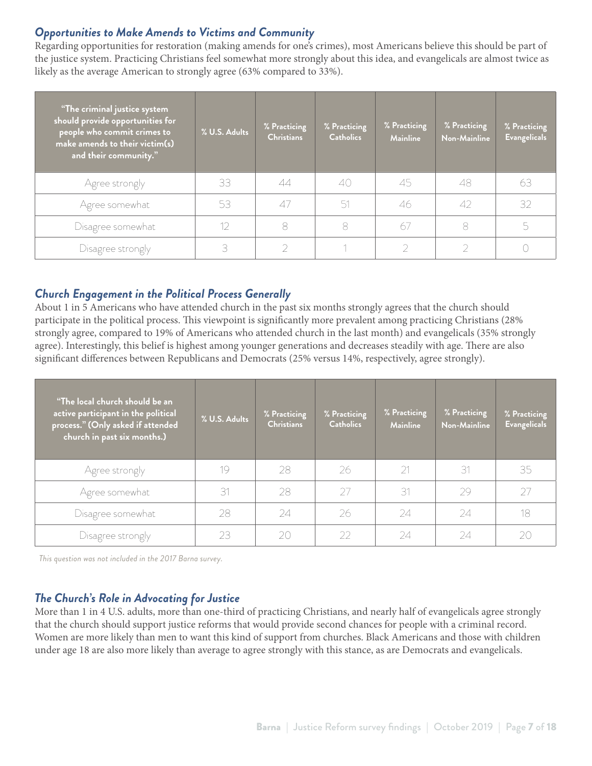#### *Opportunities to Make Amends to Victims and Community*

Regarding opportunities for restoration (making amends for one's crimes), most Americans believe this should be part of the justice system. Practicing Christians feel somewhat more strongly about this idea, and evangelicals are almost twice as likely as the average American to strongly agree (63% compared to 33%).

| "The criminal justice system<br>should provide opportunities for<br>people who commit crimes to<br>make amends to their victim(s)<br>and their community." | % U.S. Adults | % Practicing<br><b>Christians</b> | % Practicing<br><b>Catholics</b> | % Practicing<br><b>Mainline</b> | % Practicing<br>Non-Mainline | % Practicing<br><b>Evangelicals</b> |
|------------------------------------------------------------------------------------------------------------------------------------------------------------|---------------|-----------------------------------|----------------------------------|---------------------------------|------------------------------|-------------------------------------|
| Agree strongly                                                                                                                                             | 33            | 44                                | 40                               | 45                              | 48                           | 63                                  |
| Agree somewhat                                                                                                                                             | 53            | 47                                | 51                               | 46                              | 42                           | 32                                  |
| Disagree somewhat                                                                                                                                          |               | 8                                 | 8                                | 67                              | 8                            | 5                                   |
| Disagree strongly                                                                                                                                          |               |                                   |                                  |                                 |                              |                                     |

### *Church Engagement in the Political Process Generally*

About 1 in 5 Americans who have attended church in the past six months strongly agrees that the church should participate in the political process. This viewpoint is significantly more prevalent among practicing Christians (28% strongly agree, compared to 19% of Americans who attended church in the last month) and evangelicals (35% strongly agree). Interestingly, this belief is highest among younger generations and decreases steadily with age. There are also significant differences between Republicans and Democrats (25% versus 14%, respectively, agree strongly).

| "The local church should be an<br>active participant in the political<br>process." (Only asked if attended<br>church in past six months.) | % U.S. Adults | % Practicing<br><b>Christians</b> | % Practicing<br><b>Catholics</b> | % Practicing<br><b>Mainline</b> | % Practicing<br><b>Non-Mainline</b> | % Practicing<br><b>Evangelicals</b> |
|-------------------------------------------------------------------------------------------------------------------------------------------|---------------|-----------------------------------|----------------------------------|---------------------------------|-------------------------------------|-------------------------------------|
| Agree strongly                                                                                                                            | 19            | 28                                | 26                               | 21                              | 31                                  | 35                                  |
| Agree somewhat                                                                                                                            | 31            | 28                                | 27                               | 31                              | 29                                  | 27                                  |
| Disagree somewhat                                                                                                                         | 28            | 24                                | 26                               | 24                              | 24                                  | 18                                  |
| Disagree strongly                                                                                                                         | 23            | 20                                | $\mathcal{D} \mathcal{D}$        | 24                              | 24                                  | 20                                  |

*This question was not included in the 2017 Barna survey.* 

#### *The Church's Role in Advocating for Justice*

More than 1 in 4 U.S. adults, more than one-third of practicing Christians, and nearly half of evangelicals agree strongly that the church should support justice reforms that would provide second chances for people with a criminal record. Women are more likely than men to want this kind of support from churches. Black Americans and those with children under age 18 are also more likely than average to agree strongly with this stance, as are Democrats and evangelicals.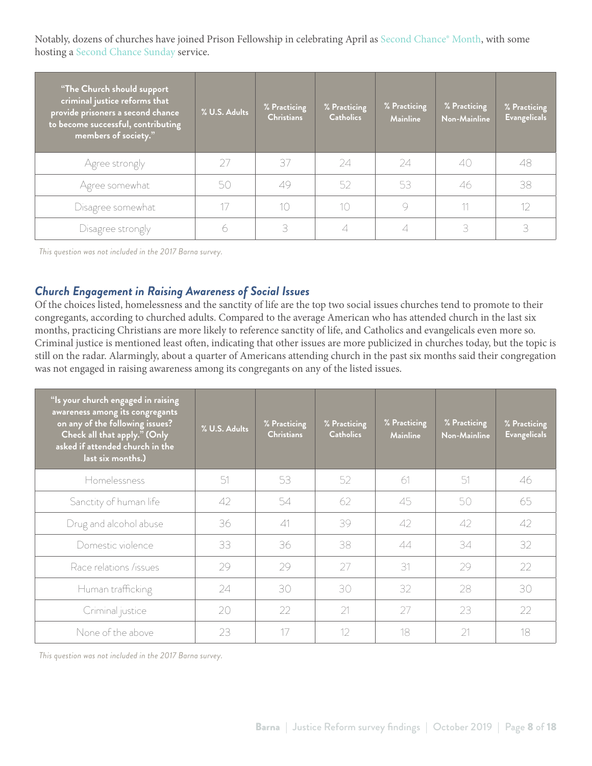Notably, dozens of churches have joined Prison Fellowship in celebrating April as [Second Chance® Month,](https://www.prisonfellowship.org/about/justicereform/second-chance-month/) with some hosting a [Second Chance Sunday](https://www.prisonfellowship.org/about/justicereform/second-chance-month/second-chance-month-sunday-toolkit/) service.

| <b>The Church should support</b><br>criminal justice reforms that<br>provide prisoners a second chance<br>to become successful, contributing<br>members of society." | % U.S. Adults | % Practicing<br><b>Christians</b> | % Practicing<br><b>Catholics</b> | % Practicing<br><b>Mainline</b> | % Practicing<br><b>Non-Mainline</b> | % Practicing<br><b>Evangelicals</b> |
|----------------------------------------------------------------------------------------------------------------------------------------------------------------------|---------------|-----------------------------------|----------------------------------|---------------------------------|-------------------------------------|-------------------------------------|
| Agree strongly                                                                                                                                                       |               | 37                                | 24                               | 24                              | 40                                  | 48                                  |
| Agree somewhat                                                                                                                                                       | 50            | 49                                | 52                               | 53                              | 46                                  | 38                                  |
| Disagree somewhat                                                                                                                                                    |               | 10                                | 10                               |                                 | 11                                  | 12                                  |
| Disagree strongly                                                                                                                                                    |               | 3.                                |                                  |                                 | 3                                   | 3                                   |

*This question was not included in the 2017 Barna survey.* 

#### *Church Engagement in Raising Awareness of Social Issues*

Of the choices listed, homelessness and the sanctity of life are the top two social issues churches tend to promote to their congregants, according to churched adults. Compared to the average American who has attended church in the last six months, practicing Christians are more likely to reference sanctity of life, and Catholics and evangelicals even more so. Criminal justice is mentioned least often, indicating that other issues are more publicized in churches today, but the topic is still on the radar. Alarmingly, about a quarter of Americans attending church in the past six months said their congregation was not engaged in raising awareness among its congregants on any of the listed issues.

| "Is your church engaged in raising<br>awareness among its congregants<br>on any of the following issues?<br>Check all that apply." (Only<br>asked if attended church in the<br>last six months.) | % U.S. Adults | % Practicing<br><b>Christians</b> | % Practicing<br><b>Catholics</b> | % Practicing<br><b>Mainline</b> | % Practicing<br>Non-Mainline | % Practicing<br><b>Evangelicals</b> |
|--------------------------------------------------------------------------------------------------------------------------------------------------------------------------------------------------|---------------|-----------------------------------|----------------------------------|---------------------------------|------------------------------|-------------------------------------|
| Homelessness                                                                                                                                                                                     | 51            | 53                                | 52                               | -61                             | 51                           | 46                                  |
| Sanctity of human life                                                                                                                                                                           | 42            | 54                                | 62                               | 45                              | 50                           | 65                                  |
| Drug and alcohol abuse                                                                                                                                                                           | 36            | $\triangle$ 1                     | 39                               | 42                              | 42                           | 42                                  |
| Domestic violence                                                                                                                                                                                | 33            | 36                                | 38                               | 44                              | 34                           | 32                                  |
| Race relations /issues                                                                                                                                                                           | 29            | 29                                | 27                               | 31                              | 29                           | 22                                  |
| Human trafficking                                                                                                                                                                                | 24            | 30                                | 30                               | 32                              | 28                           | 30                                  |
| Criminal justice                                                                                                                                                                                 | 20            | 22                                | 21                               | 27                              | 23                           | 22                                  |
| None of the above                                                                                                                                                                                | 23            | 17                                | 12                               | 18                              | 21                           | 18                                  |

*This question was not included in the 2017 Barna survey.*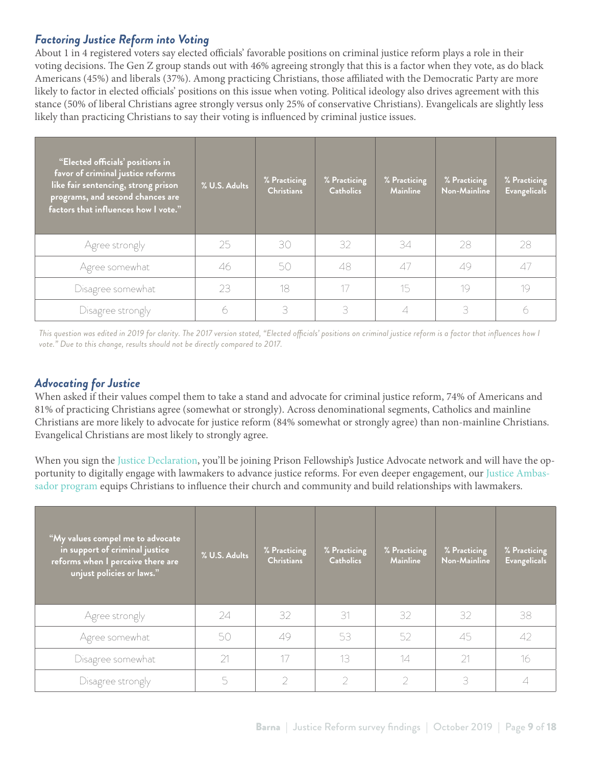#### *Factoring Justice Reform into Voting*

About 1 in 4 registered voters say elected officials' favorable positions on criminal justice reform plays a role in their voting decisions. The Gen Z group stands out with 46% agreeing strongly that this is a factor when they vote, as do black Americans (45%) and liberals (37%). Among practicing Christians, those affiliated with the Democratic Party are more likely to factor in elected officials' positions on this issue when voting. Political ideology also drives agreement with this stance (50% of liberal Christians agree strongly versus only 25% of conservative Christians). Evangelicals are slightly less likely than practicing Christians to say their voting is influenced by criminal justice issues.

| "Elected officials' positions in<br>favor of criminal justice reforms<br>like fair sentencing, strong prison<br>programs, and second chances are<br>factors that influences how I vote." | % U.S. Adults | % Practicing<br><b>Christians</b> | % Practicing<br><b>Catholics</b> | % Practicing<br><b>Mainline</b> | % Practicing<br>Non-Mainline | % Practicing<br><b>Evangelicals</b> |
|------------------------------------------------------------------------------------------------------------------------------------------------------------------------------------------|---------------|-----------------------------------|----------------------------------|---------------------------------|------------------------------|-------------------------------------|
| Agree strongly                                                                                                                                                                           | 25            | 30                                | 32                               | 34                              | 28                           | 28                                  |
| Agree somewhat                                                                                                                                                                           | 46            | 50                                | 48                               | 47                              | 49                           | 47                                  |
| Disagree somewhat                                                                                                                                                                        | 23            | 18                                | 17                               | 15                              | 19                           | 19                                  |
| Disagree strongly                                                                                                                                                                        |               | 3                                 | 3                                |                                 | 3                            |                                     |

*This question was edited in 2019 for clarity. The 2017 version stated, "Elected officials' positions on criminal justice reform is a factor that influences how I*  vote." Due to this change, results should not be directly compared to 2017.

#### *Advocating for Justice*

When asked if their values compel them to take a stand and advocate for criminal justice reform, 74% of Americans and 81% of practicing Christians agree (somewhat or strongly). Across denominational segments, Catholics and mainline Christians are more likely to advocate for justice reform (84% somewhat or strongly agree) than non-mainline Christians. Evangelical Christians are most likely to strongly agree.

When you sign the [Justice Declaration](https://www.prisonfellowship.org/about/justicereform/landing-pages/justice-declaration/?_ga=2.70946517.458944029.1577980984-442093174.1573586668), you'll be joining Prison Fellowship's Justice Advocate network and will have the opportunity to digitally engage with lawmakers to advance justice reforms. For even deeper engagement, our [Justice Ambas](https://www.prisonfellowship.org/action/volunteer-old/become-an-advocate-in-your-state/)[sador program](https://www.prisonfellowship.org/action/volunteer-old/become-an-advocate-in-your-state/) equips Christians to influence their church and community and build relationships with lawmakers.

| "My values compel me to advocate"<br>in support of criminal justice<br>reforms when I perceive there are<br>unjust policies or laws." | % U.S. Adults | % Practicing<br><b>Christians</b> | % Practicing<br><b>Catholics</b> | % Practicing<br><b>Mainline</b> | % Practicing<br><b>Non-Mainline</b> | % Practicing<br><b>Evangelicals</b> |
|---------------------------------------------------------------------------------------------------------------------------------------|---------------|-----------------------------------|----------------------------------|---------------------------------|-------------------------------------|-------------------------------------|
| Agree strongly                                                                                                                        | 24            | 32                                | 31                               | 32                              | 32                                  | 38                                  |
| Agree somewhat                                                                                                                        | 50            | 49                                | 53                               | 52                              | 45                                  | 42                                  |
| Disagree somewhat                                                                                                                     | 21            | 17                                | 13                               | 14                              | 21                                  | 16                                  |
| Disagree strongly                                                                                                                     | 5             |                                   | 2                                |                                 | 3                                   | 4                                   |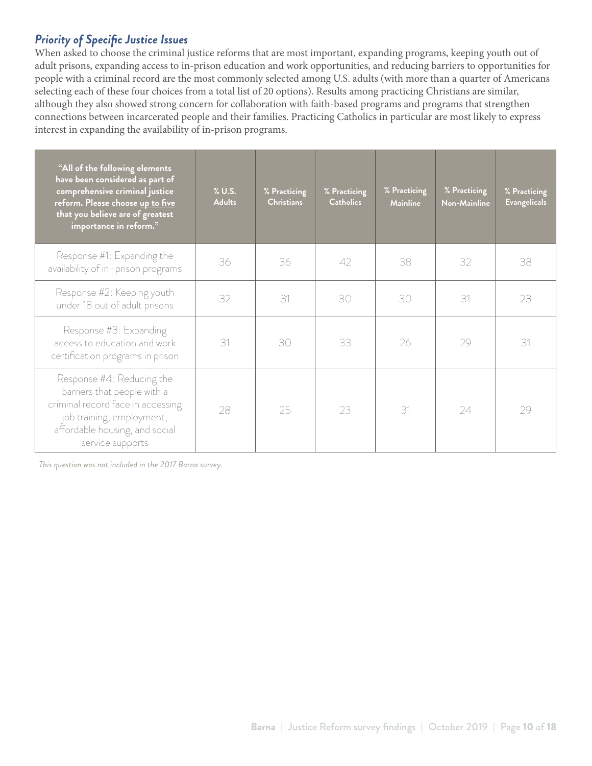## *Priority of Specific Justice Issues*

When asked to choose the criminal justice reforms that are most important, expanding programs, keeping youth out of adult prisons, expanding access to in-prison education and work opportunities, and reducing barriers to opportunities for people with a criminal record are the most commonly selected among U.S. adults (with more than a quarter of Americans selecting each of these four choices from a total list of 20 options). Results among practicing Christians are similar, although they also showed strong concern for collaboration with faith-based programs and programs that strengthen connections between incarcerated people and their families. Practicing Catholics in particular are most likely to express interest in expanding the availability of in-prison programs.

| "All of the following elements<br>have been considered as part of<br>comprehensive criminal justice<br>reform. Please choose up to five<br>that you believe are of greatest<br>importance in reform." | $%$ U.S.<br><b>Adults</b> | % Practicing<br><b>Christians</b> | % Practicing<br><b>Catholics</b> | % Practicing<br><b>Mainline</b> | % Practicing<br><b>Non-Mainline</b> | % Practicing<br><b>Evangelicals</b> |
|-------------------------------------------------------------------------------------------------------------------------------------------------------------------------------------------------------|---------------------------|-----------------------------------|----------------------------------|---------------------------------|-------------------------------------|-------------------------------------|
| Response #1: Expanding the<br>availability of in-prison programs                                                                                                                                      | 36                        | 36                                | $\Delta$                         | 38                              | 32                                  | 38                                  |
| Response #2: Keeping youth<br>under 18 out of adult prisons                                                                                                                                           | 32                        | 31                                | 30                               | 30                              | 31                                  | 23                                  |
| Response #3: Expanding<br>access to education and work<br>certification programs in prison                                                                                                            | 31                        | 30                                | 33                               | 26                              | 29                                  | 31                                  |
| Response #4: Reducing the<br>barriers that people with a<br>criminal record face in accessing<br>job training, employment,<br>affordable housing, and social<br>service supports                      | 28                        | 25                                | 23                               | 31                              | 24                                  | 29                                  |

*This question was not included in the 2017 Barna survey.*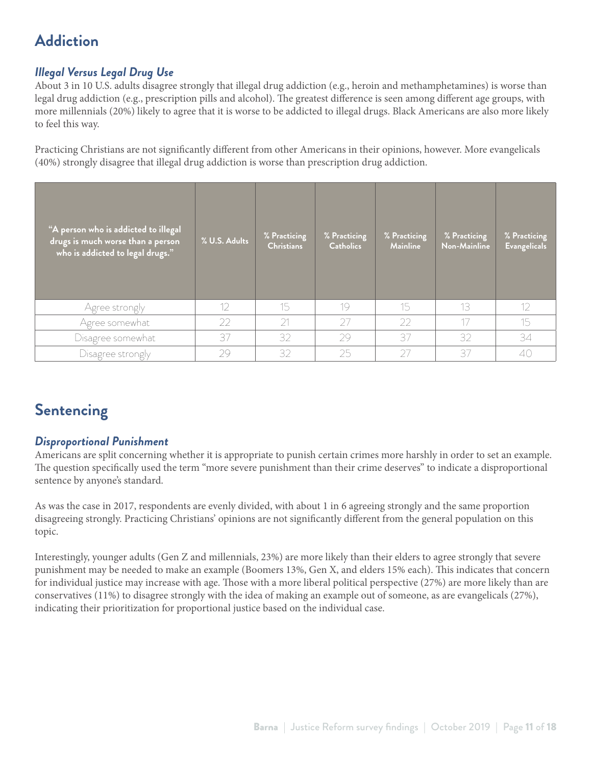## **Addiction**

## *Illegal Versus Legal Drug Use*

About 3 in 10 U.S. adults disagree strongly that illegal drug addiction (e.g., heroin and methamphetamines) is worse than legal drug addiction (e.g., prescription pills and alcohol). The greatest difference is seen among different age groups, with more millennials (20%) likely to agree that it is worse to be addicted to illegal drugs. Black Americans are also more likely to feel this way.

Practicing Christians are not significantly different from other Americans in their opinions, however. More evangelicals (40%) strongly disagree that illegal drug addiction is worse than prescription drug addiction.

| "A person who is addicted to illegal<br>drugs is much worse than a person<br>who is addicted to legal drugs." | % U.S. Adults | % Practicing<br><b>Christians</b> | % Practicing<br><b>Catholics</b> | % Practicing<br><b>Mainline</b> | % Practicing<br>Non-Mainline | % Practicing<br><b>Evangelicals</b> |
|---------------------------------------------------------------------------------------------------------------|---------------|-----------------------------------|----------------------------------|---------------------------------|------------------------------|-------------------------------------|
| Agree strongly                                                                                                | 12            | 15                                | 19                               | 15                              | 13                           | $12 \overline{ }$                   |
| Agree somewhat                                                                                                | 22            | 21                                | 27                               | 22                              | 17                           | 15                                  |
| Disagree somewhat                                                                                             | 37            | 32                                | 29                               | 37                              | 32                           | 34                                  |
| Disagree strongly                                                                                             | 29            | 32                                | 25                               | 27                              | 37                           | 40                                  |

## **Sentencing**

### *Disproportional Punishment*

Americans are split concerning whether it is appropriate to punish certain crimes more harshly in order to set an example. The question specifically used the term "more severe punishment than their crime deserves" to indicate a disproportional sentence by anyone's standard.

As was the case in 2017, respondents are evenly divided, with about 1 in 6 agreeing strongly and the same proportion disagreeing strongly. Practicing Christians' opinions are not significantly different from the general population on this topic.

Interestingly, younger adults (Gen Z and millennials, 23%) are more likely than their elders to agree strongly that severe punishment may be needed to make an example (Boomers 13%, Gen X, and elders 15% each). This indicates that concern for individual justice may increase with age. Those with a more liberal political perspective (27%) are more likely than are conservatives (11%) to disagree strongly with the idea of making an example out of someone, as are evangelicals (27%), indicating their prioritization for proportional justice based on the individual case.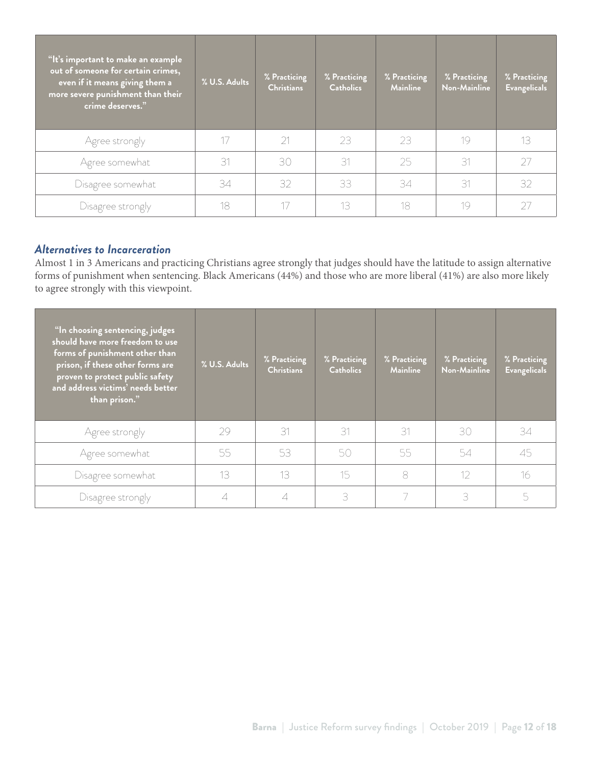| "It's important to make an example<br>out of someone for certain crimes,<br>even if it means giving them a<br>more severe punishment than their<br>crime deserves." | % U.S. Adults | % Practicing<br><b>Christians</b> | % Practicing<br><b>Catholics</b> | % Practicing<br><b>Mainline</b> | % Practicing<br>Non-Mainline | % Practicing<br><b>Evangelicals</b> |
|---------------------------------------------------------------------------------------------------------------------------------------------------------------------|---------------|-----------------------------------|----------------------------------|---------------------------------|------------------------------|-------------------------------------|
| Agree strongly                                                                                                                                                      |               | 21                                | 23                               | 23                              | 19                           | 13                                  |
| Agree somewhat                                                                                                                                                      | 31            | 30                                | 31                               | 25                              | 31                           | 27                                  |
| Disagree somewhat                                                                                                                                                   | 34            | 32                                | 33                               | 34                              | 31                           | 32                                  |
| Disagree strongly                                                                                                                                                   | 18            |                                   | 13                               | 18                              | 19                           | 27                                  |

#### *Alternatives to Incarceration*

Almost 1 in 3 Americans and practicing Christians agree strongly that judges should have the latitude to assign alternative forms of punishment when sentencing. Black Americans (44%) and those who are more liberal (41%) are also more likely to agree strongly with this viewpoint.

| "In choosing sentencing, judges<br>should have more freedom to use<br>forms of punishment other than<br>prison, if these other forms are<br>$\overline{\mathbf{1}}$ proven to protect public safety<br>and address victims' needs better<br>than prison." | % U.S. Adults | % Practicing<br><b>Christians</b> | % Practicing<br><b>Catholics</b> | % Practicing<br><b>Mainline</b> | % Practicing<br>Non-Mainline | % Practicing<br><b>Evangelicals</b> |
|-----------------------------------------------------------------------------------------------------------------------------------------------------------------------------------------------------------------------------------------------------------|---------------|-----------------------------------|----------------------------------|---------------------------------|------------------------------|-------------------------------------|
| Agree strongly                                                                                                                                                                                                                                            | 29            | 31                                | 31                               | 31                              | 30                           | 34                                  |
| Agree somewhat                                                                                                                                                                                                                                            | 55            | 53                                | 50                               | 55                              | 54                           | 45                                  |
| Disagree somewhat                                                                                                                                                                                                                                         | 13            | 13                                | 15                               | 8                               | 12                           | 16                                  |
| Disagree strongly                                                                                                                                                                                                                                         |               |                                   | 3                                |                                 | 3                            | 5                                   |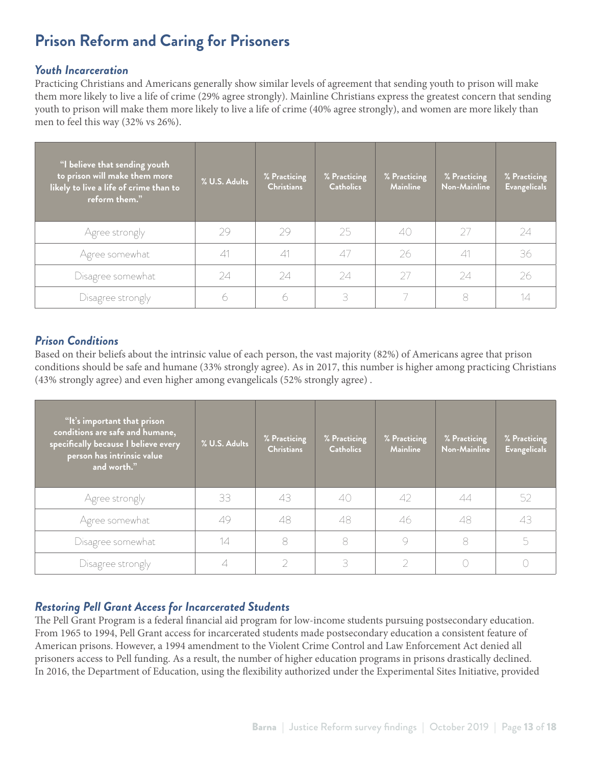## **Prison Reform and Caring for Prisoners**

#### *Youth Incarceration*

Practicing Christians and Americans generally show similar levels of agreement that sending youth to prison will make them more likely to live a life of crime (29% agree strongly). Mainline Christians express the greatest concern that sending youth to prison will make them more likely to live a life of crime (40% agree strongly), and women are more likely than men to feel this way (32% vs 26%).

| "I believe that sending youth<br>to prison will make them more<br>likely to live a life of crime than to<br>reform them." | % U.S. Adults | % Practicing<br><b>Christians</b> | % Practicing<br><b>Catholics</b> | % Practicing<br><b>Mainline</b> | % Practicing<br>Non-Mainline | % Practicing<br><b>Evangelicals</b> |
|---------------------------------------------------------------------------------------------------------------------------|---------------|-----------------------------------|----------------------------------|---------------------------------|------------------------------|-------------------------------------|
| Agree strongly                                                                                                            | 29            | 29                                | 25                               | 40                              | 27                           | 24                                  |
| Agree somewhat                                                                                                            | 41            | 41                                | 47                               | 26                              | 41                           | 36                                  |
| Disagree somewhat                                                                                                         | 24            | 24                                | 24                               | 27                              | 24                           | 26                                  |
| Disagree strongly                                                                                                         |               | 6                                 | 3                                |                                 | 8                            | 14                                  |

#### *Prison Conditions*

Based on their beliefs about the intrinsic value of each person, the vast majority (82%) of Americans agree that prison conditions should be safe and humane (33% strongly agree). As in 2017, this number is higher among practicing Christians (43% strongly agree) and even higher among evangelicals (52% strongly agree) .

| "It's important that prison<br>conditions are safe and humane,<br>specifically because I believe every<br>person has intrinsic value<br>and worth." | % U.S. Adults | % Practicing<br><b>Christians</b> | % Practicing<br><b>Catholics</b> | % Practicing<br><b>Mainline</b> | % Practicing<br>Non-Mainline | % Practicing<br><b>Evangelicals</b> |
|-----------------------------------------------------------------------------------------------------------------------------------------------------|---------------|-----------------------------------|----------------------------------|---------------------------------|------------------------------|-------------------------------------|
| Agree strongly                                                                                                                                      | 33            | 43                                | 40                               | 42                              | 44                           | 52                                  |
| Agree somewhat                                                                                                                                      | 49            | 48                                | 48                               | 46                              | 48                           | 43                                  |
| Disagree somewhat                                                                                                                                   | 14            | 8                                 | 8                                |                                 | 8                            | 5                                   |
| Disagree strongly                                                                                                                                   |               |                                   | 3                                |                                 |                              |                                     |

### *Restoring Pell Grant Access for Incarcerated Students*

The Pell Grant Program is a federal financial aid program for low-income students pursuing postsecondary education. From 1965 to 1994, Pell Grant access for incarcerated students made postsecondary education a consistent feature of American prisons. However, a 1994 amendment to the Violent Crime Control and Law Enforcement Act denied all prisoners access to Pell funding. As a result, the number of higher education programs in prisons drastically declined. In 2016, the Department of Education, using the flexibility authorized under the Experimental Sites Initiative, provided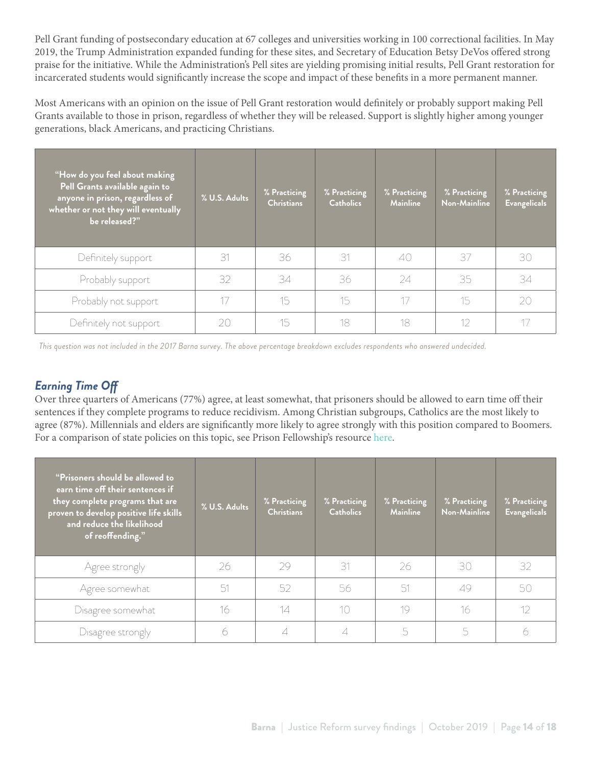Pell Grant funding of postsecondary education at 67 colleges and universities working in 100 correctional facilities. In May 2019, the Trump Administration expanded funding for these sites, and Secretary of Education Betsy DeVos offered strong praise for the initiative. While the Administration's Pell sites are yielding promising initial results, Pell Grant restoration for incarcerated students would significantly increase the scope and impact of these benefits in a more permanent manner.

Most Americans with an opinion on the issue of Pell Grant restoration would definitely or probably support making Pell Grants available to those in prison, regardless of whether they will be released. Support is slightly higher among younger generations, black Americans, and practicing Christians.

| "How do you feel about making<br>Pell Grants available again to<br>anyone in prison, regardless of<br>whether or not they will eventually<br>be released?" | % U.S. Adults | % Practicing<br><b>Christians</b> | % Practicing<br><b>Catholics</b> | % Practicing<br><b>Mainline</b> | % Practicing<br>Non-Mainline | % Practicing<br><b>Evangelicals</b> |
|------------------------------------------------------------------------------------------------------------------------------------------------------------|---------------|-----------------------------------|----------------------------------|---------------------------------|------------------------------|-------------------------------------|
| Definitely support                                                                                                                                         | 31            | 36                                | 31                               | 40                              | 37                           | 30                                  |
| Probably support                                                                                                                                           | 32            | 34                                | 36                               | 24                              | 35                           | 34                                  |
| Probably not support                                                                                                                                       |               | 15                                | 15                               |                                 | 15                           | 20                                  |
| Definitely not support                                                                                                                                     | 20            | 15                                | 18                               | 18                              | 12                           |                                     |

*This question was not included in the 2017 Barna survey. The above percentage breakdown excludes respondents who answered undecided.* 

## *Earning Time Off*

Over three quarters of Americans (77%) agree, at least somewhat, that prisoners should be allowed to earn time off their sentences if they complete programs to reduce recidivism. Among Christian subgroups, Catholics are the most likely to agree (87%). Millennials and elders are significantly more likely to agree strongly with this position compared to Boomers. For a comparison of state policies on this topic, see Prison Fellowship's resource [here.](https://www.prisonfellowship.org/wp-content/uploads/2019/07/GoodTimeChartUS_2018.pdf)

| "Prisoners should be allowed to<br>earn time off their sentences if<br>they complete programs that are<br>proven to develop positive life skills<br>and reduce the likelihood<br>of reoffending." | % U.S. Adults | % Practicing<br><b>Christians</b> | % Practicing<br><b>Catholics</b> | % Practicing<br><b>Mainline</b> | % Practicing<br>Non-Mainline | % Practicing<br><b>Evangelicals</b> |
|---------------------------------------------------------------------------------------------------------------------------------------------------------------------------------------------------|---------------|-----------------------------------|----------------------------------|---------------------------------|------------------------------|-------------------------------------|
| Agree strongly                                                                                                                                                                                    | 26            | 29                                | 31                               | 26                              | 30                           | 32                                  |
| Agree somewhat                                                                                                                                                                                    | 51            | 52                                | 56                               | -51                             | 49                           | 50                                  |
| Disagree somewhat                                                                                                                                                                                 | 16            | 14                                | 10                               | 19                              | 16                           | 12                                  |
| Disagree strongly                                                                                                                                                                                 |               |                                   | 4                                |                                 | 5                            | 6                                   |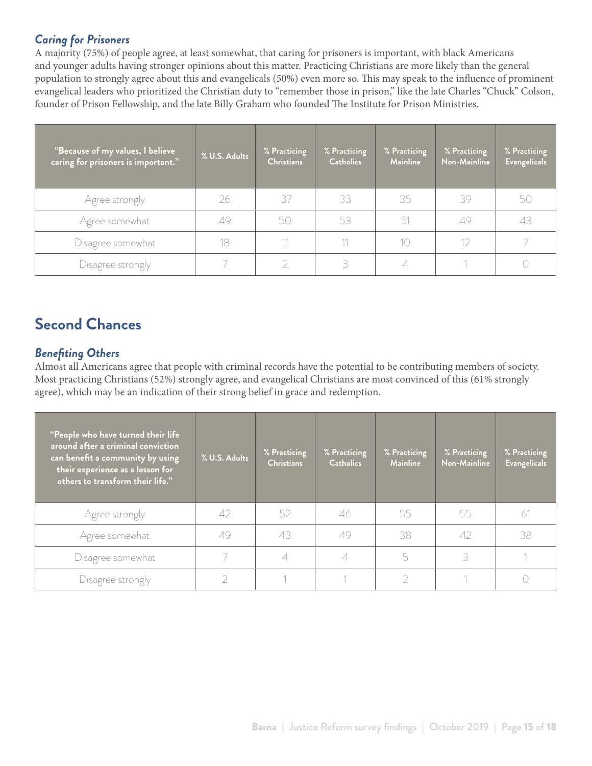### *Caring for Prisoners*

A majority (75%) of people agree, at least somewhat, that caring for prisoners is important, with black Americans and younger adults having stronger opinions about this matter. Practicing Christians are more likely than the general population to strongly agree about this and evangelicals (50%) even more so. This may speak to the influence of prominent evangelical leaders who prioritized the Christian duty to "remember those in prison," like the late Charles "Chuck" Colson, founder of Prison Fellowship, and the late Billy Graham who founded The Institute for Prison Ministries.

| "Because of my values, I believe<br>caring for prisoners is important." | % U.S. Adults | % Practicing<br><b>Christians</b> | % Practicing<br><b>Catholics</b> | % Practicing<br><b>Mainline</b> | % Practicing<br>Non-Mainline | % Practicing<br><b>Evangelicals</b> |
|-------------------------------------------------------------------------|---------------|-----------------------------------|----------------------------------|---------------------------------|------------------------------|-------------------------------------|
| Agree strongly                                                          | 26            | 37                                | 33                               | 35                              | 39                           | 50                                  |
| Agree somewhat                                                          | 49            | 50                                | 53                               | 51                              | 49                           | 43                                  |
| Disagree somewhat                                                       | 18            | 11                                | 11                               | 10                              | 12                           |                                     |
| Disagree strongly                                                       |               |                                   | 3                                |                                 |                              |                                     |

# **Second Chances**

## *Benefiting Others*

Almost all Americans agree that people with criminal records have the potential to be contributing members of society. Most practicing Christians (52%) strongly agree, and evangelical Christians are most convinced of this (61% strongly agree), which may be an indication of their strong belief in grace and redemption.

| <b>People who have turned their life</b><br>around after a criminal conviction<br>can benefit a community by using<br>their experience as a lesson for<br>others to transform their life." | % U.S. Adults | % Practicing<br><b>Christians</b> | % Practicing<br><b>Catholics</b> | % Practicing<br><b>Mainline</b> | % Practicing<br>Non-Mainline | % Practicing<br><b>Evangelicals</b> |
|--------------------------------------------------------------------------------------------------------------------------------------------------------------------------------------------|---------------|-----------------------------------|----------------------------------|---------------------------------|------------------------------|-------------------------------------|
| Agree strongly                                                                                                                                                                             | 42            | 52                                | 46                               | 55                              | 55                           | 61                                  |
| Agree somewhat                                                                                                                                                                             | 49            | 43                                | 49                               | 38                              | 42                           | 38                                  |
| Disagree somewhat                                                                                                                                                                          |               |                                   |                                  |                                 | 3                            |                                     |
| Disagree strongly                                                                                                                                                                          |               |                                   |                                  |                                 |                              |                                     |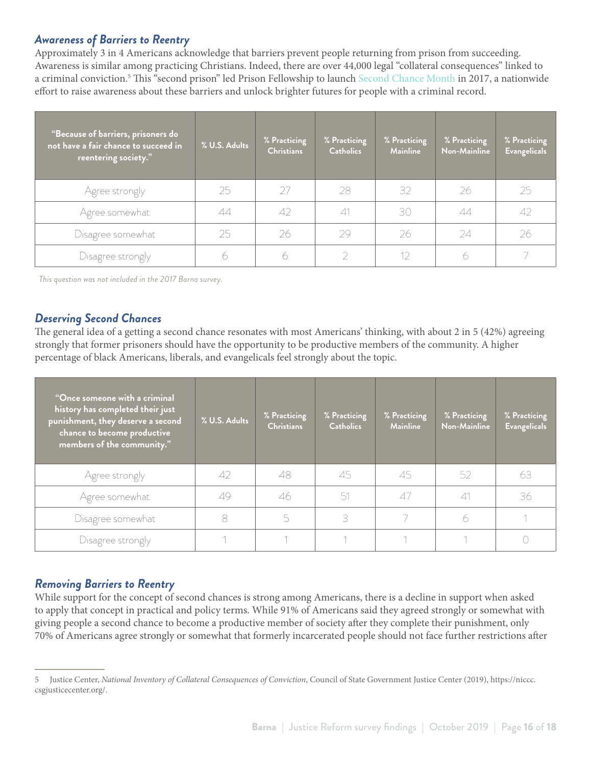#### *Awareness of Barriers to Reentry*

Approximately 3 in 4 Americans acknowledge that barriers prevent people returning from prison from succeeding. Awareness is similar among practicing Christians. Indeed, there are over 44,000 legal "collateral consequences" linked to a criminal conviction.<sup>5</sup> This "second prison" led Prison Fellowship to launch [Second Chance Month](https://www.prisonfellowship.org/about/justicereform/second-chance-month/) in 2017, a nationwide effort to raise awareness about these barriers and unlock brighter futures for people with a criminal record.

| "Because of barriers, prisoners do<br>not have a fair chance to succeed in<br>reentering society." | % U.S. Adults | % Practicing<br><b>Christians</b> | % Practicing<br><b>Catholics</b> | % Practicing<br><b>Mainline</b> | % Practicing<br>Non-Mainline | % Practicing<br><b>Evangelicals</b> |
|----------------------------------------------------------------------------------------------------|---------------|-----------------------------------|----------------------------------|---------------------------------|------------------------------|-------------------------------------|
| Agree strongly                                                                                     | 25            | 27                                | 28                               | 32                              | 26                           | 25                                  |
| Agree somewhat                                                                                     | 44            | 42                                | $\triangle$ 1                    | 30                              | 44                           | 42                                  |
| Disagree somewhat                                                                                  | 25            | 26                                | 29                               | 26                              | 24                           | 26                                  |
| Disagree strongly                                                                                  |               |                                   |                                  |                                 | 6                            |                                     |

*This question was not included in the 2017 Barna survey.* 

#### *Deserving Second Chances*

The general idea of a getting a second chance resonates with most Americans' thinking, with about 2 in 5 (42%) agreeing strongly that former prisoners should have the opportunity to be productive members of the community. A higher percentage of black Americans, liberals, and evangelicals feel strongly about the topic.

| "Once someone with a criminal<br>history has completed their just<br>punishment, they deserve a second<br>chance to become productive<br>members of the community." | % U.S. Adults | % Practicing<br><b>Christians</b> | % Practicing<br><b>Catholics</b> | % Practicing<br><b>Mainline</b> | % Practicing<br>Non-Mainline | % Practicing<br><b>Evangelicals</b> |
|---------------------------------------------------------------------------------------------------------------------------------------------------------------------|---------------|-----------------------------------|----------------------------------|---------------------------------|------------------------------|-------------------------------------|
| Agree strongly                                                                                                                                                      | 42            | 48                                | 45                               | 45                              | 52                           | 63                                  |
| Agree somewhat                                                                                                                                                      | 49            | 46                                | 51                               | 47                              | 41                           | 36                                  |
| Disagree somewhat                                                                                                                                                   |               | 5                                 | 3                                |                                 | 6                            |                                     |
| Disagree strongly                                                                                                                                                   |               |                                   |                                  |                                 |                              |                                     |

#### *Removing Barriers to Reentry*

While support for the concept of second chances is strong among Americans, there is a decline in support when asked to apply that concept in practical and policy terms. While 91% of Americans said they agreed strongly or somewhat with giving people a second chance to become a productive member of society after they complete their punishment, only 70% of Americans agree strongly or somewhat that formerly incarcerated people should not face further restrictions after

<sup>5</sup> Justice Center, *National Inventory of Collateral Consequences of Conviction*, Council of State Government Justice Center (2019), https://niccc. csgjusticecenter.org/.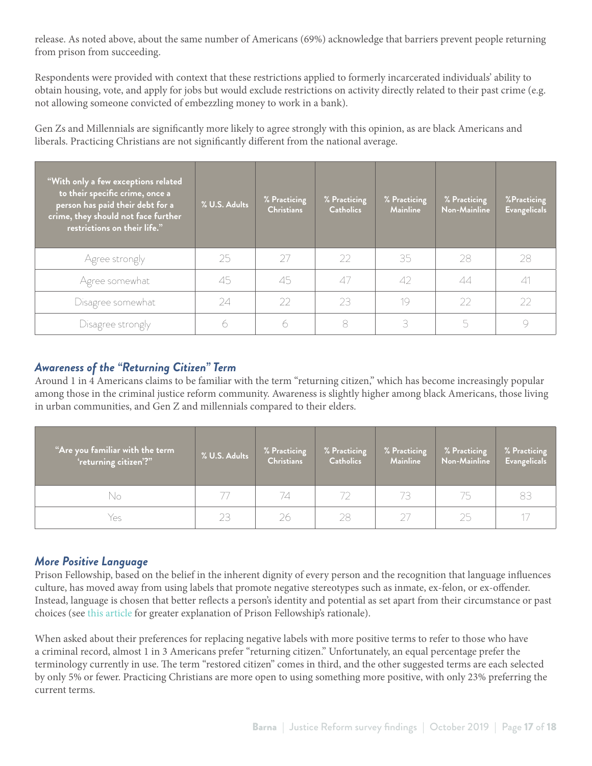release. As noted above, about the same number of Americans (69%) acknowledge that barriers prevent people returning from prison from succeeding.

Respondents were provided with context that these restrictions applied to formerly incarcerated individuals' ability to obtain housing, vote, and apply for jobs but would exclude restrictions on activity directly related to their past crime (e.g. not allowing someone convicted of embezzling money to work in a bank).

Gen Zs and Millennials are significantly more likely to agree strongly with this opinion, as are black Americans and liberals. Practicing Christians are not significantly different from the national average.

| With only a few exceptions related<br>to their specific crime, once a<br>person has paid their debt for a<br>crime, they should not face further<br>restrictions on their life." | % U.S. Adults | % Practicing<br><b>Christians</b> | % Practicing<br><b>Catholics</b> | % Practicing<br><b>Mainline</b> | % Practicing<br>Non-Mainline | %Practicing<br><b>Evangelicals</b> |
|----------------------------------------------------------------------------------------------------------------------------------------------------------------------------------|---------------|-----------------------------------|----------------------------------|---------------------------------|------------------------------|------------------------------------|
| Agree strongly                                                                                                                                                                   | 25            | 27                                | 22                               | 35                              | 28                           | -28                                |
| Agree somewhat                                                                                                                                                                   | 45            | 45                                | 47                               | $\Delta$                        | 44                           | $\triangle$ 1                      |
| Disagree somewhat                                                                                                                                                                | 24            | 22                                | 23                               | 19                              | 22                           | 22                                 |
| Disagree strongly                                                                                                                                                                |               |                                   | 8                                | R                               | 5                            |                                    |

#### *Awareness of the "Returning Citizen" Term*

Around 1 in 4 Americans claims to be familiar with the term "returning citizen," which has become increasingly popular among those in the criminal justice reform community. Awareness is slightly higher among black Americans, those living in urban communities, and Gen Z and millennials compared to their elders.

| "Are you familiar with the term<br>'returning citizen'?" | % U.S. Adults                 | % Practicing<br><b>Christians</b> | % Practicing<br><b>Catholics</b> | % Practicing<br><b>Mainline</b> | % Practicing<br>Non-Mainline | % Practicing<br><b>Evangelicals</b> |
|----------------------------------------------------------|-------------------------------|-----------------------------------|----------------------------------|---------------------------------|------------------------------|-------------------------------------|
| No                                                       |                               | 74                                | 72                               | 73                              | 75                           | 83                                  |
| Yes                                                      | $\widehat{\phantom{a}}$<br>73 | 26                                | 28                               |                                 | 25                           |                                     |

### *More Positive Language*

Prison Fellowship, based on the belief in the inherent dignity of every person and the recognition that language influences culture, has moved away from using labels that promote negative stereotypes such as inmate, ex-felon, or ex-offender. Instead, language is chosen that better reflects a person's identity and potential as set apart from their circumstance or past choices (see [this article](https://www.prisonfellowship.org/2017/09/hello-my-name-is-felon/) for greater explanation of Prison Fellowship's rationale).

When asked about their preferences for replacing negative labels with more positive terms to refer to those who have a criminal record, almost 1 in 3 Americans prefer "returning citizen." Unfortunately, an equal percentage prefer the terminology currently in use. The term "restored citizen" comes in third, and the other suggested terms are each selected by only 5% or fewer. Practicing Christians are more open to using something more positive, with only 23% preferring the current terms.